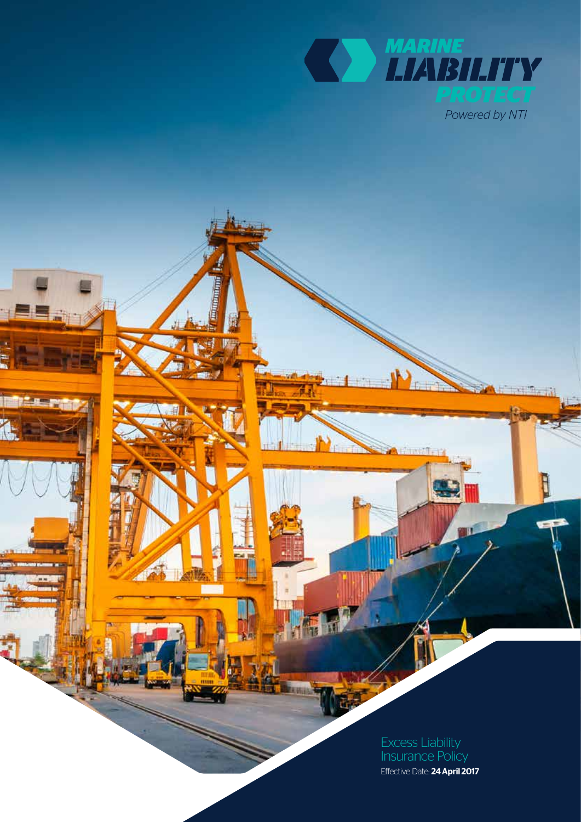

Powered by NTI

Excess Liability Insurance Policy Effective Date: 24 April 2017

TIT<sub>S</sub>

9

Excess Liability Insurance Policy 1

**Command**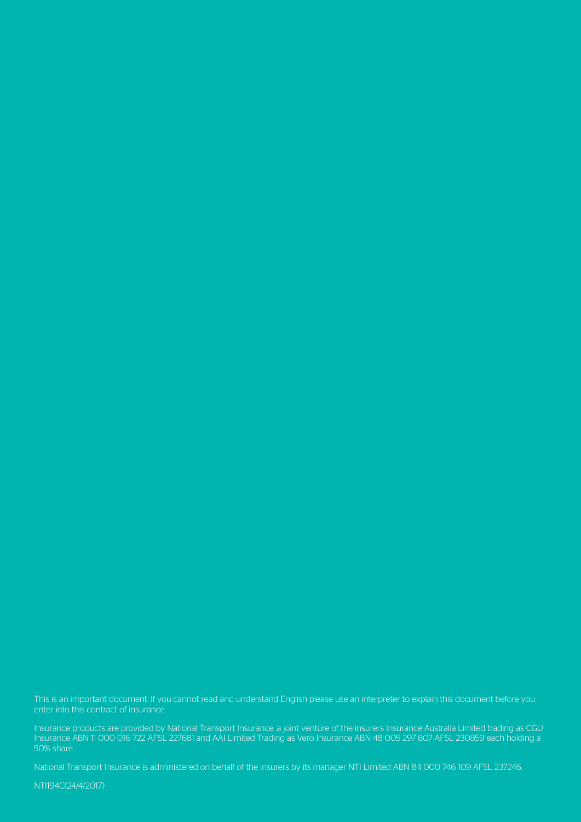This is an important document. If you cannot read and understand English please use an interpreter to explain this document before you

Insurance products are provided by National Transport Insurance, a joint venture of the insurers Insurance Australia Limited trading as CGU Insurance ABN 11 000 016 722 AFSL 227681 and AAI Limited Trading as Vero Insurance ABN 48 005 297 807 AFSL 230859 each holding a 50% share.

National Transport Insurance is administered on behalf of the insurers by its manager NTI Limited ABN 84 000 746 109 AFSL 237246.

NTI194C(24/4/2017)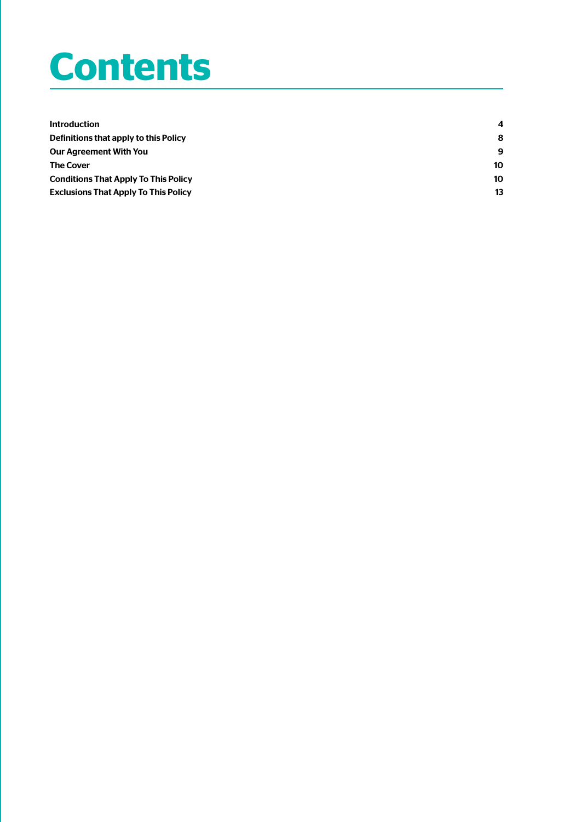

| <b>Introduction</b>                         | 4  |
|---------------------------------------------|----|
| Definitions that apply to this Policy       | 8  |
| <b>Our Agreement With You</b>               | 9  |
| <b>The Cover</b>                            | 10 |
| <b>Conditions That Apply To This Policy</b> |    |
| <b>Exclusions That Apply To This Policy</b> | 13 |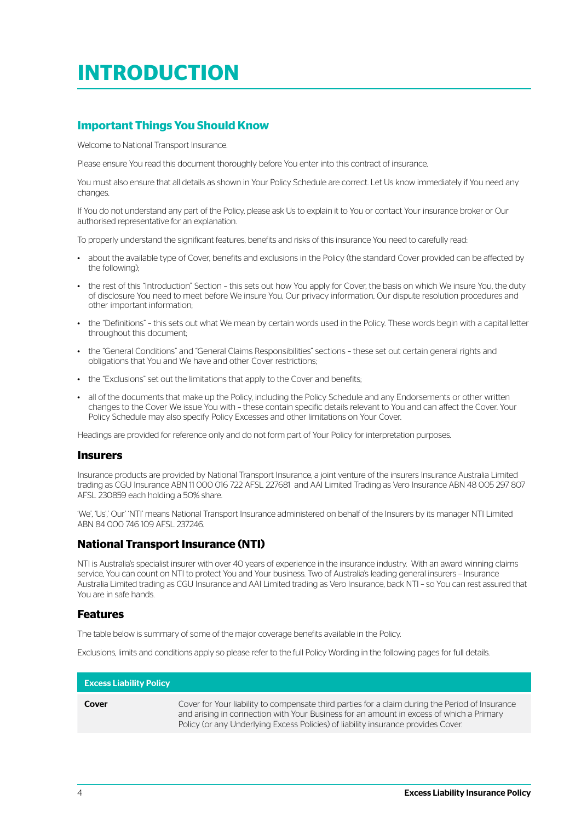## **Important Things You Should Know**

Welcome to National Transport Insurance.

Please ensure You read this document thoroughly before You enter into this contract of insurance.

You must also ensure that all details as shown in Your Policy Schedule are correct. Let Us know immediately if You need any changes.

If You do not understand any part of the Policy, please ask Us to explain it to You or contact Your insurance broker or Our authorised representative for an explanation.

To properly understand the significant features, benefits and risks of this insurance You need to carefully read:

- about the available type of Cover, benefits and exclusions in the Policy (the standard Cover provided can be affected by the following);
- the rest of this "Introduction" Section this sets out how You apply for Cover, the basis on which We insure You. the duty of disclosure You need to meet before We insure You, Our privacy information, Our dispute resolution procedures and other important information;
- the "Definitions" this sets out what We mean by certain words used in the Policy. These words begin with a capital letter throughout this document;
- the "General Conditions" and "General Claims Responsibilities" sections these set out certain general rights and obligations that You and We have and other Cover restrictions;
- the "Exclusions" set out the limitations that apply to the Cover and benefits;
- all of the documents that make up the Policy, including the Policy Schedule and any Endorsements or other written changes to the Cover We issue You with – these contain specific details relevant to You and can affect the Cover. Your Policy Schedule may also specify Policy Excesses and other limitations on Your Cover.

Headings are provided for reference only and do not form part of Your Policy for interpretation purposes.

### **Insurers**

Insurance products are provided by National Transport Insurance, a joint venture of the insurers Insurance Australia Limited trading as CGU Insurance ABN 11 000 016 722 AFSL 227681 and AAI Limited Trading as Vero Insurance ABN 48 005 297 807 AFSL 230859 each holding a 50% share.

'We', 'Us',' Our' 'NTI' means National Transport Insurance administered on behalf of the Insurers by its manager NTI Limited ABN 84 000 746 109 AFSL 237246.

## **National Transport Insurance (NTI)**

NTI is Australia's specialist insurer with over 40 years of experience in the insurance industry. With an award winning claims service, You can count on NTI to protect You and Your business. Two of Australia's leading general insurers – Insurance Australia Limited trading as CGU Insurance and AAI Limited trading as Vero Insurance, back NTI – so You can rest assured that You are in safe hands.

## **Features**

The table below is summary of some of the major coverage benefits available in the Policy.

Exclusions, limits and conditions apply so please refer to the full Policy Wording in the following pages for full details.

| <b>Excess Liability Policy</b> |                                                                                                                                                                                                                                                                                 |
|--------------------------------|---------------------------------------------------------------------------------------------------------------------------------------------------------------------------------------------------------------------------------------------------------------------------------|
| Cover                          | Cover for Your liability to compensate third parties for a claim during the Period of Insurance<br>and arising in connection with Your Business for an amount in excess of which a Primary<br>Policy (or any Underlying Excess Policies) of liability insurance provides Cover. |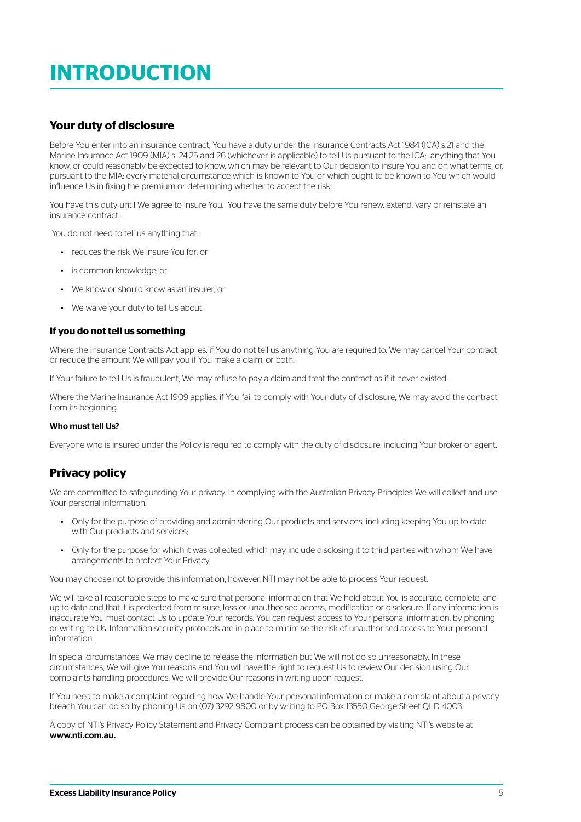## **Your duty of disclosure**

Before You enter into an insurance contract, You have a duty under the Insurance Contracts Act 1984 (ICA) s.21 and the Marine Insurance Act 1909 (MIA) s. 24,25 and 26 (whichever is applicable) to tell Us pursuant to the ICA: anything that You know, or could reasonably be expected to know, which may be relevant to Our decision to insure You and on what terms, or, pursuant to the MIA: every material circumstance which is known to You or which ought to be known to You which would influence Us in fixing the premium or determining whether to accept the risk.

You have this duty until We agree to insure You. You have the same duty before You renew, extend, vary or reinstate an insurance contract.

You do not need to tell us anything that:

- reduces the risk We insure You for; or
- is common knowledge; or
- We know or should know as an insurar; or
- We waive your duty to tell Us about.

### **If you do not tell us something**

Where the Insurance Contracts Act applies: if You do not tell us anything You are required to, We may cancel Your contract or reduce the amount We will pay you if You make a claim, or both.

If Your failure to tell Us is fraudulent, We may refuse to pay a claim and treat the contract as if it never existed.

Where the Marine Insurance Act 1909 applies: if You fail to comply with Your duty of disclosure, We may avoid the contract from its beginning.

#### Who must tell Us?

Everyone who is insured under the Policy is required to comply with the duty of disclosure, including Your broker or agent.

# **Privacy policy**

We are committed to safeguarding Your privacy. In complying with the Australian Privacy Principles We will collect and use Your personal information:

- Only for the purpose of providing and administering Our products and services, including keeping You up to date with Our products and services;
- Only for the purpose for which it was collected, which may include disclosing it to third parties with whom We have arrangements to protect Your Privacy.

You may choose not to provide this information; however, NTI may not be able to process Your request.

We will take all reasonable steps to make sure that personal information that We hold about You is accurate, complete, and up to date and that it is protected from misuse, loss or unauthorised access, modification or disclosure. If any information is inaccurate You must contact Us to update Your records. You can request access to Your personal information, by phoning or writing to Us. Information security protocols are in place to minimise the risk of unauthorised access to Your personal information.

In special circumstances, We may decline to release the information but We will not do so unreasonably. In these circumstances, We will give You reasons and You will have the right to request Us to review Our decision using Our complaints handling procedures. We will provide Our reasons in writing upon request.

If You need to make a complaint regarding how We handle Your personal information or make a complaint about a privacy breach You can do so by phoning Us on (07) 3292 9800 or by writing to PO Box 13550 George Street QLD 4003.

A copy of NTI's Privacy Policy Statement and Privacy Complaint process can be obtained by visiting NTI's website at www.nti.com.au.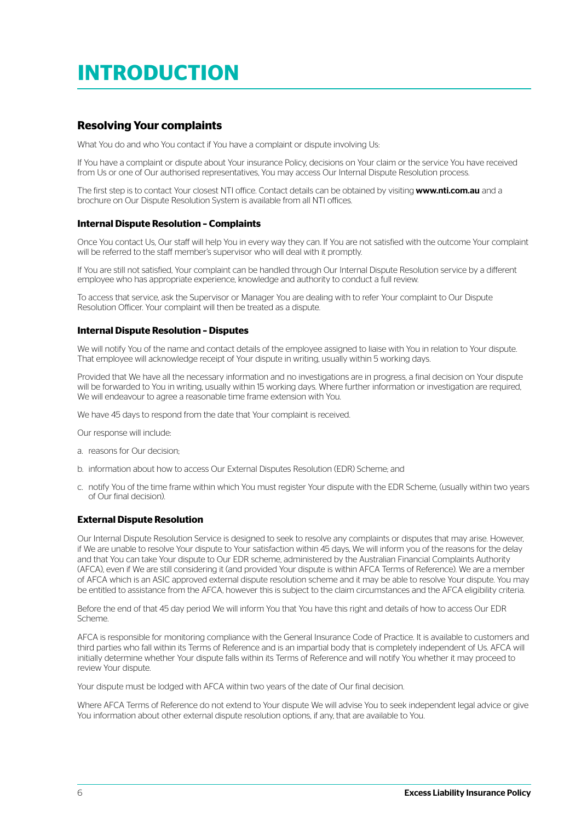## **Resolving Your complaints**

What You do and who You contact if You have a complaint or dispute involving Us:

If You have a complaint or dispute about Your insurance Policy, decisions on Your claim or the service You have received from Us or one of Our authorised representatives, You may access Our Internal Dispute Resolution process.

The first step is to contact Your closest NTI office. Contact details can be obtained by visiting www.nti.com.au and a brochure on Our Dispute Resolution System is available from all NTI offices.

### **Internal Dispute Resolution – Complaints**

Once You contact Us, Our staff will help You in every way they can. If You are not satisfied with the outcome Your complaint will be referred to the staff member's supervisor who will deal with it promptly.

If You are still not satisfied, Your complaint can be handled through Our Internal Dispute Resolution service by a different employee who has appropriate experience, knowledge and authority to conduct a full review.

To access that service, ask the Supervisor or Manager You are dealing with to refer Your complaint to Our Dispute Resolution Officer. Your complaint will then be treated as a dispute.

### **Internal Dispute Resolution – Disputes**

We will notify You of the name and contact details of the employee assigned to liaise with You in relation to Your dispute. That employee will acknowledge receipt of Your dispute in writing, usually within 5 working days.

Provided that We have all the necessary information and no investigations are in progress, a final decision on Your dispute will be forwarded to You in writing, usually within 15 working days. Where further information or investigation are required, We will endeavour to agree a reasonable time frame extension with You.

We have 45 days to respond from the date that Your complaint is received.

Our response will include:

- a. reasons for Our decision-
- b. information about how to access Our External Disputes Resolution (EDR) Scheme; and
- c. notify You of the time frame within which You must register Your dispute with the EDR Scheme, (usually within two years of Our final decision).

### **External Dispute Resolution**

Our Internal Dispute Resolution Service is designed to seek to resolve any complaints or disputes that may arise. However, if We are unable to resolve Your dispute to Your satisfaction within 45 days, We will inform you of the reasons for the delay and that You can take Your dispute to Our EDR scheme, administered by the Australian Financial Complaints Authority (AFCA), even if We are still considering it (and provided Your dispute is within AFCA Terms of Reference). We are a member of AFCA which is an ASIC approved external dispute resolution scheme and it may be able to resolve Your dispute. You may be entitled to assistance from the AFCA, however this is subject to the claim circumstances and the AFCA eligibility criteria.

Before the end of that 45 day period We will inform You that You have this right and details of how to access Our EDR Scheme.

AFCA is responsible for monitoring compliance with the General Insurance Code of Practice. It is available to customers and third parties who fall within its Terms of Reference and is an impartial body that is completely independent of Us. AFCA will initially determine whether Your dispute falls within its Terms of Reference and will notify You whether it may proceed to review Your dispute.

Your dispute must be lodged with AFCA within two years of the date of Our final decision.

Where AFCA Terms of Reference do not extend to Your dispute We will advise You to seek independent legal advice or give You information about other external dispute resolution options, if any, that are available to You.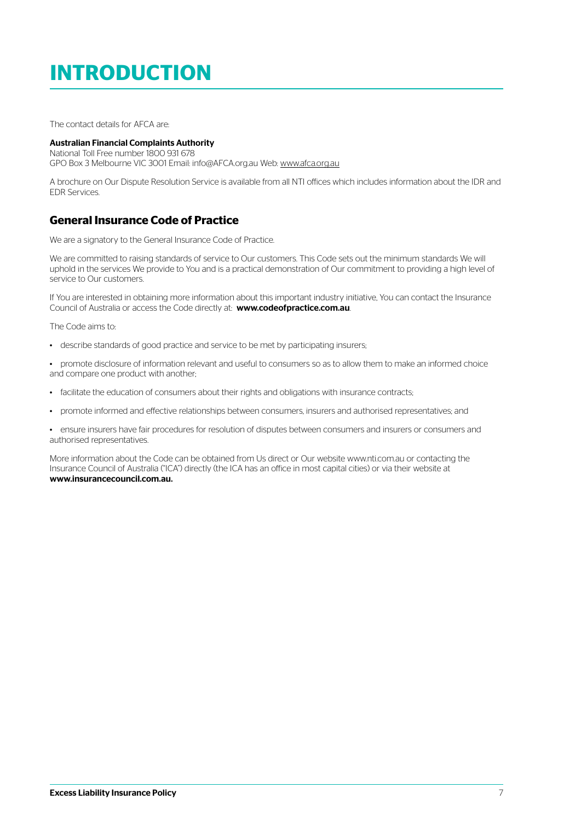The contact details for AFCA are:

### Australian Financial Complaints Authority

National Toll Free number 1800 931 678 GPO Box 3 Melbourne VIC 3001 Email: info@AFCA.org.au Web: www.afca.org.au

A brochure on Our Dispute Resolution Service is available from all NTI offices which includes information about the IDR and EDR Services.

## **General Insurance Code of Practice**

We are a signatory to the General Insurance Code of Practice.

We are committed to raising standards of service to Our customers. This Code sets out the minimum standards We will uphold in the services We provide to You and is a practical demonstration of Our commitment to providing a high level of service to Our customers.

If You are interested in obtaining more information about this important industry initiative, You can contact the Insurance Council of Australia or access the Code directly at: www.codeofpractice.com.au.

The Code aims to:

• describe standards of good practice and service to be met by participating insurers;

• promote disclosure of information relevant and useful to consumers so as to allow them to make an informed choice and compare one product with another;

- facilitate the education of consumers about their rights and obligations with insurance contracts:
- promote informed and effective relationships between consumers, insurers and authorised representatives; and

• ensure insurers have fair procedures for resolution of disputes between consumers and insurers or consumers and authorised representatives.

More information about the Code can be obtained from Us direct or Our website www.nti.com.au or contacting the Insurance Council of Australia ("ICA") directly (the ICA has an office in most capital cities) or via their website at www.insurancecouncil.com.au.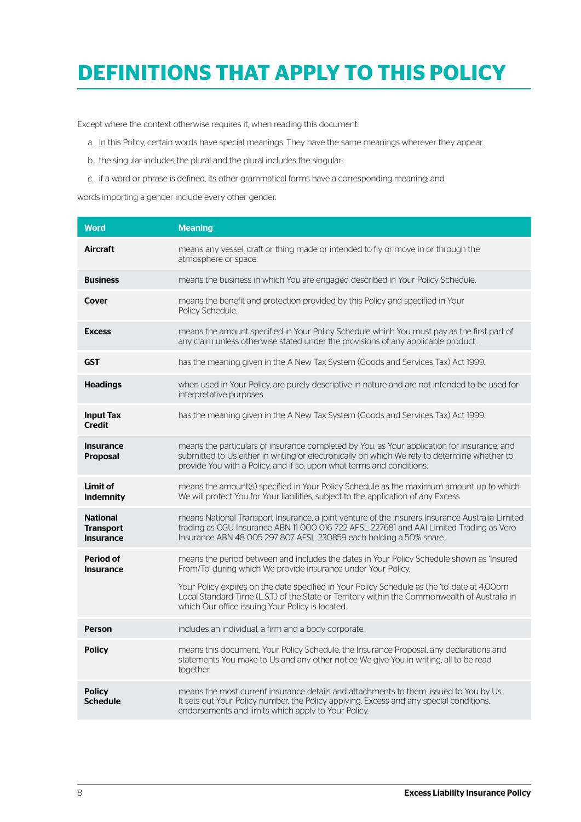# **DEFINITIONS THAT APPLY TO THIS POLICY**

Except where the context otherwise requires it, when reading this document:

- a. In this Policy, certain words have special meanings. They have the same meanings wherever they appear.
- b. the singular includes the plural and the plural includes the singular;
- c. if a word or phrase is defined, its other grammatical forms have a corresponding meaning; and

words importing a gender include every other gender.

| <b>Word</b>                                             | <b>Meaning</b>                                                                                                                                                                                                                                                       |
|---------------------------------------------------------|----------------------------------------------------------------------------------------------------------------------------------------------------------------------------------------------------------------------------------------------------------------------|
| <b>Aircraft</b>                                         | means any vessel, craft or thing made or intended to fly or move in or through the<br>atmosphere or space.                                                                                                                                                           |
| <b>Business</b>                                         | means the business in which You are engaged described in Your Policy Schedule.                                                                                                                                                                                       |
| Cover                                                   | means the benefit and protection provided by this Policy and specified in Your<br>Policy Schedule.                                                                                                                                                                   |
| <b>Excess</b>                                           | means the amount specified in Your Policy Schedule which You must pay as the first part of<br>any claim unless otherwise stated under the provisions of any applicable product.                                                                                      |
| <b>GST</b>                                              | has the meaning given in the A New Tax System (Goods and Services Tax) Act 1999.                                                                                                                                                                                     |
| <b>Headings</b>                                         | when used in Your Policy, are purely descriptive in nature and are not intended to be used for<br>interpretative purposes.                                                                                                                                           |
| <b>Input Tax</b><br><b>Credit</b>                       | has the meaning given in the A New Tax System (Goods and Services Tax) Act 1999.                                                                                                                                                                                     |
| <b>Insurance</b><br><b>Proposal</b>                     | means the particulars of insurance completed by You, as Your application for insurance, and<br>submitted to Us either in writing or electronically on which We rely to determine whether to<br>provide You with a Policy, and if so, upon what terms and conditions. |
| Limit of<br><b>Indemnity</b>                            | means the amount(s) specified in Your Policy Schedule as the maximum amount up to which<br>We will protect You for Your liabilities, subject to the application of any Excess.                                                                                       |
| <b>National</b><br><b>Transport</b><br><b>Insurance</b> | means National Transport Insurance, a joint venture of the insurers Insurance Australia Limited<br>trading as CGU Insurance ABN 11 000 016 722 AFSL 227681 and AAI Limited Trading as Vero<br>Insurance ABN 48 005 297 807 AFSL 230859 each holding a 50% share.     |
| Period of<br><b>Insurance</b>                           | means the period between and includes the dates in Your Policy Schedule shown as 'Insured<br>From/To' during which We provide insurance under Your Policy.                                                                                                           |
|                                                         | Your Policy expires on the date specified in Your Policy Schedule as the 'to' date at 4.00pm<br>Local Standard Time (L.S.T.) of the State or Territory within the Commonwealth of Australia in<br>which Our office issuing Your Policy is located.                   |
| <b>Person</b>                                           | includes an individual, a firm and a body corporate.                                                                                                                                                                                                                 |
| <b>Policy</b>                                           | means this document, Your Policy Schedule, the Insurance Proposal, any declarations and<br>statements You make to Us and any other notice We give You in writing, all to be read<br>together.                                                                        |
| <b>Policy</b><br><b>Schedule</b>                        | means the most current insurance details and attachments to them, issued to You by Us.<br>It sets out Your Policy number, the Policy applying, Excess and any special conditions,<br>endorsements and limits which apply to Your Policy.                             |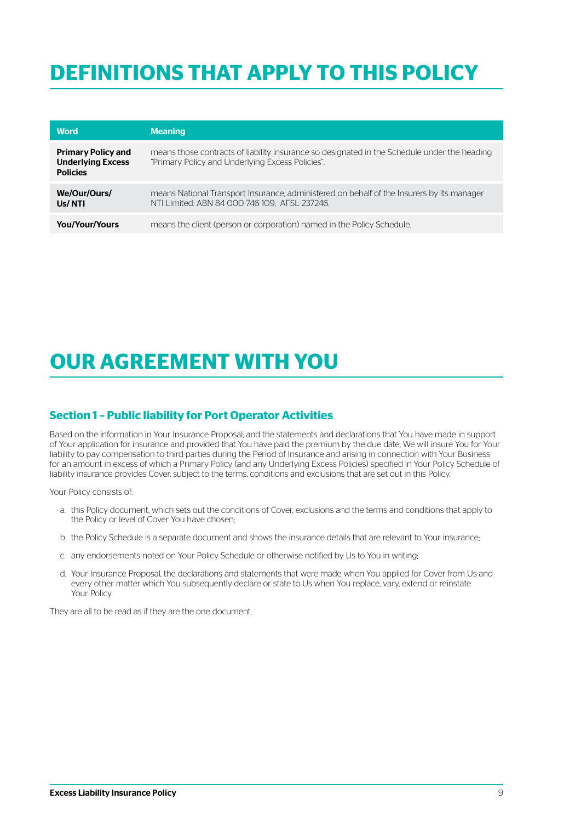# **DEFINITIONS THAT APPLY TO THIS POLICY**

| <b>Word</b>                                                              | <b>Meaning</b>                                                                                                                                   |
|--------------------------------------------------------------------------|--------------------------------------------------------------------------------------------------------------------------------------------------|
| <b>Primary Policy and</b><br><b>Underlying Excess</b><br><b>Policies</b> | means those contracts of liability insurance so designated in the Schedule under the heading<br>"Primary Policy and Underlying Excess Policies". |
| We/Our/Ours/<br>Us/NTI                                                   | means National Transport Insurance, administered on behalf of the Insurers by its manager<br>NTI Limited: ABN 84 000 746 109: AFSL 237246.       |
| <b>You/Your/Yours</b>                                                    | means the client (person or corporation) named in the Policy Schedule.                                                                           |

# **OUR AGREEMENT WITH YOU**

# **Section 1 – Public liability for Port Operator Activities**

Based on the information in Your Insurance Proposal, and the statements and declarations that You have made in support of Your application for insurance and provided that You have paid the premium by the due date, We will insure You for Your liability to pay compensation to third parties during the Period of Insurance and arising in connection with Your Business for an amount in excess of which a Primary Policy (and any Underlying Excess Policies) specified in Your Policy Schedule of liability insurance provides Cover, subject to the terms, conditions and exclusions that are set out in this Policy.

Your Policy consists of:

- a. this Policy document, which sets out the conditions of Cover, exclusions and the terms and conditions that apply to the Policy or level of Cover You have chosen;
- b. the Policy Schedule is a separate document and shows the insurance details that are relevant to Your insurance;
- c. any endorsements noted on Your Policy Schedule or otherwise notified by Us to You in writing;
- d. Your Insurance Proposal, the declarations and statements that were made when You applied for Cover from Us and every other matter which You subsequently declare or state to Us when You replace, vary, extend or reinstate Your Policy.

They are all to be read as if they are the one document.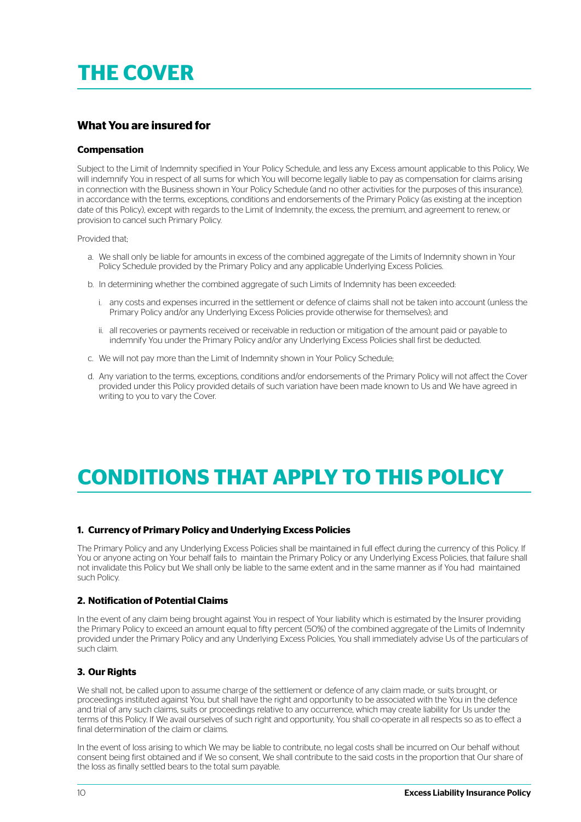# **THE COVER**

## **What You are insured for**

### **Compensation**

Subject to the Limit of Indemnity specified in Your Policy Schedule, and less any Excess amount applicable to this Policy, We will indemnify You in respect of all sums for which You will become legally liable to pay as compensation for claims arising in connection with the Business shown in Your Policy Schedule (and no other activities for the purposes of this insurance), in accordance with the terms, exceptions, conditions and endorsements of the Primary Policy (as existing at the inception date of this Policy), except with regards to the Limit of Indemnity, the excess, the premium, and agreement to renew, or provision to cancel such Primary Policy.

Provided that;

- a. We shall only be liable for amounts in excess of the combined aggregate of the Limits of Indemnity shown in Your Policy Schedule provided by the Primary Policy and any applicable Underlying Excess Policies.
- b. In determining whether the combined aggregate of such Limits of Indemnity has been exceeded:
	- i. any costs and expenses incurred in the settlement or defence of claims shall not be taken into account (unless the Primary Policy and/or any Underlying Excess Policies provide otherwise for themselves); and
	- ii. all recoveries or payments received or receivable in reduction or mitigation of the amount paid or payable to indemnify You under the Primary Policy and/or any Underlying Excess Policies shall first be deducted.
- c. We will not pay more than the Limit of Indemnity shown in Your Policy Schedule;
- d. Any variation to the terms, exceptions, conditions and/or endorsements of the Primary Policy will not affect the Cover provided under this Policy provided details of such variation have been made known to Us and We have agreed in writing to you to vary the Cover.

# **CONDITIONS THAT APPLY TO THIS POLICY**

### **1. Currency of Primary Policy and Underlying Excess Policies**

The Primary Policy and any Underlying Excess Policies shall be maintained in full effect during the currency of this Policy. If You or anyone acting on Your behalf fails to maintain the Primary Policy or any Underlying Excess Policies, that failure shall not invalidate this Policy but We shall only be liable to the same extent and in the same manner as if You had maintained such Policy.

### **2. Notification of Potential Claims**

In the event of any claim being brought against You in respect of Your liability which is estimated by the Insurer providing the Primary Policy to exceed an amount equal to fifty percent (50%) of the combined aggregate of the Limits of Indemnity provided under the Primary Policy and any Underlying Excess Policies, You shall immediately advise Us of the particulars of such claim.

### **3. Our Rights**

We shall not, be called upon to assume charge of the settlement or defence of any claim made, or suits brought, or proceedings instituted against You, but shall have the right and opportunity to be associated with the You in the defence and trial of any such claims, suits or proceedings relative to any occurrence, which may create liability for Us under the terms of this Policy. If We avail ourselves of such right and opportunity, You shall co-operate in all respects so as to effect a final determination of the claim or claims.

In the event of loss arising to which We may be liable to contribute, no legal costs shall be incurred on Our behalf without consent being first obtained and if We so consent, We shall contribute to the said costs in the proportion that Our share of the loss as finally settled bears to the total sum payable.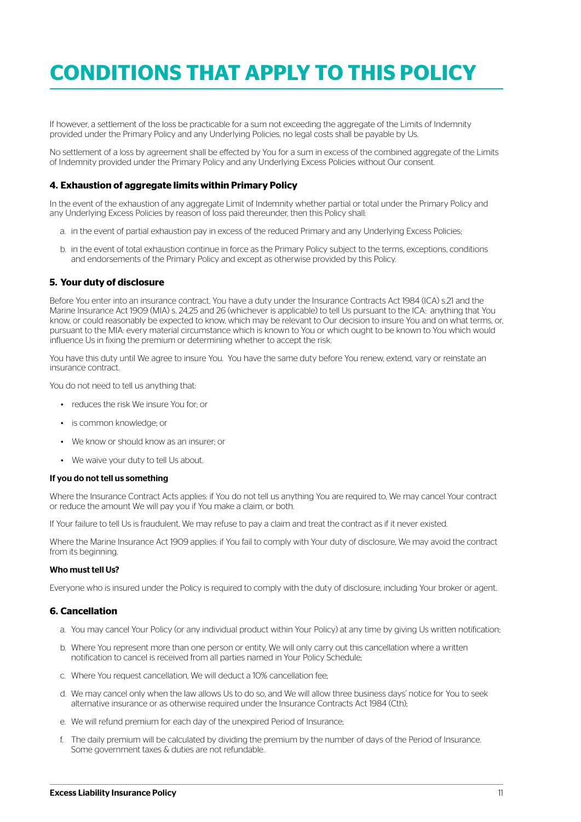# **CONDITIONS THAT APPLY TO THIS POLICY**

If however, a settlement of the loss be practicable for a sum not exceeding the aggregate of the Limits of Indemnity provided under the Primary Policy and any Underlying Policies, no legal costs shall be payable by Us.

No settlement of a loss by agreement shall be effected by You for a sum in excess of the combined aggregate of the Limits of Indemnity provided under the Primary Policy and any Underlying Excess Policies without Our consent.

### **4. Exhaustion of aggregate limits within Primary Policy**

In the event of the exhaustion of any aggregate Limit of Indemnity whether partial or total under the Primary Policy and any Underlying Excess Policies by reason of loss paid thereunder, then this Policy shall:

- a. in the event of partial exhaustion pay in excess of the reduced Primary and any Underlying Excess Policies;
- b. in the event of total exhaustion continue in force as the Primary Policy subject to the terms, exceptions, conditions and endorsements of the Primary Policy and except as otherwise provided by this Policy.

### **5. Your duty of disclosure**

Before You enter into an insurance contract, You have a duty under the Insurance Contracts Act 1984 (ICA) s.21 and the Marine Insurance Act 1909 (MIA) s. 24,25 and 26 (whichever is applicable) to tell Us pursuant to the ICA: anything that You know, or could reasonably be expected to know, which may be relevant to Our decision to insure You and on what terms, or, pursuant to the MIA: every material circumstance which is known to You or which ought to be known to You which would influence Us in fixing the premium or determining whether to accept the risk.

You have this duty until We agree to insure You. You have the same duty before You renew, extend, vary or reinstate an insurance contract.

You do not need to tell us anything that:

- reduces the risk We insure You for; or
- is common knowledge; or
- We know or should know as an insurer; or
- We waive your duty to tell Us about.

#### If you do not tell us something

Where the Insurance Contract Acts applies: if You do not tell us anything You are required to, We may cancel Your contract or reduce the amount We will pay you if You make a claim, or both.

If Your failure to tell Us is fraudulent, We may refuse to pay a claim and treat the contract as if it never existed.

Where the Marine Insurance Act 1909 applies: if You fail to comply with Your duty of disclosure, We may avoid the contract from its beginning.

### Who must tell Us?

Everyone who is insured under the Policy is required to comply with the duty of disclosure, including Your broker or agent.

### **6. Cancellation**

- a. You may cancel Your Policy (or any individual product within Your Policy) at any time by giving Us written notification;
- b. Where You represent more than one person or entity, We will only carry out this cancellation where a written notification to cancel is received from all parties named in Your Policy Schedule;
- c. Where You request cancellation, We will deduct a 10% cancellation fee;
- d. We may cancel only when the law allows Us to do so, and We will allow three business days' notice for You to seek alternative insurance or as otherwise required under the Insurance Contracts Act 1984 (Cth);
- e. We will refund premium for each day of the unexpired Period of Insurance;
- The daily premium will be calculated by dividing the premium by the number of days of the Period of Insurance. Some government taxes & duties are not refundable.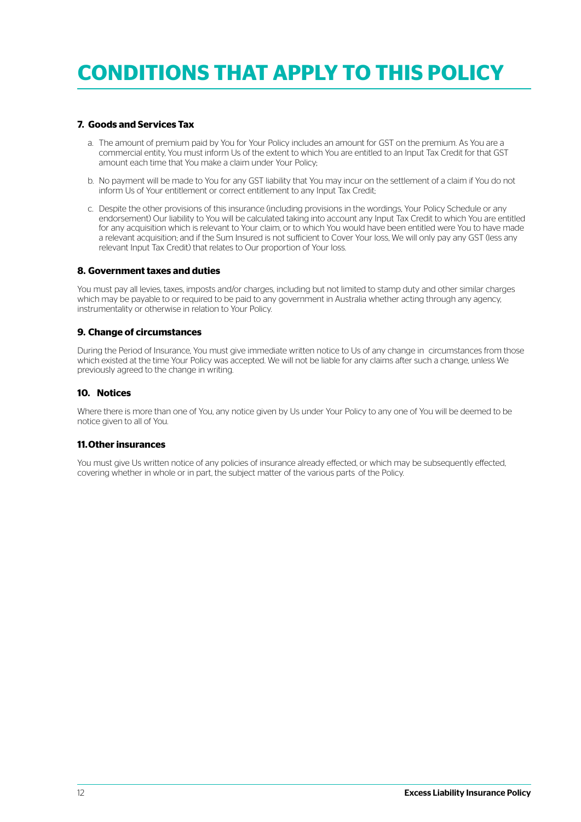# **CONDITIONS THAT APPLY TO THIS POLICY**

### **7. Goods and Services Tax**

- a. The amount of premium paid by You for Your Policy includes an amount for GST on the premium. As You are a commercial entity, You must inform Us of the extent to which You are entitled to an Input Tax Credit for that GST amount each time that You make a claim under Your Policy;
- b. No payment will be made to You for any GST liability that You may incur on the settlement of a claim if You do not inform Us of Your entitlement or correct entitlement to any Input Tax Credit;
- c. Despite the other provisions of this insurance (including provisions in the wordings, Your Policy Schedule or any endorsement) Our liability to You will be calculated taking into account any Input Tax Credit to which You are entitled for any acquisition which is relevant to Your claim, or to which You would have been entitled were You to have made a relevant acquisition; and if the Sum Insured is not sufficient to Cover Your loss, We will only pay any GST (less any relevant Input Tax Credit) that relates to Our proportion of Your loss.

### **8. Government taxes and duties**

You must pay all levies, taxes, imposts and/or charges, including but not limited to stamp duty and other similar charges which may be payable to or required to be paid to any government in Australia whether acting through any agency, instrumentality or otherwise in relation to Your Policy.

### **9. Change of circumstances**

During the Period of Insurance, You must give immediate written notice to Us of any change in circumstances from those which existed at the time Your Policy was accepted. We will not be liable for any claims after such a change, unless We previously agreed to the change in writing.

### **10. Notices**

Where there is more than one of You, any notice given by Us under Your Policy to any one of You will be deemed to be notice given to all of You.

### **11.Other insurances**

You must give Us written notice of any policies of insurance already effected, or which may be subsequently effected, covering whether in whole or in part, the subject matter of the various parts of the Policy.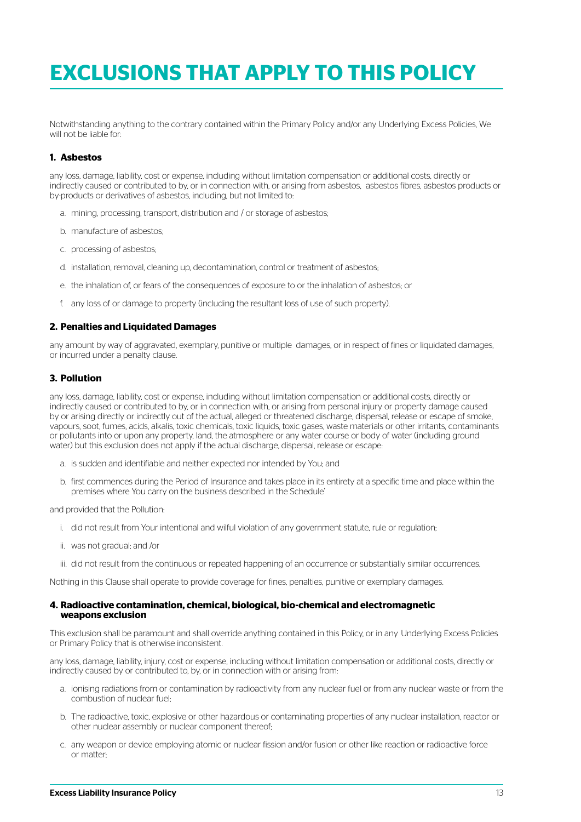# **EXCLUSIONS THAT APPLY TO THIS POLICY**

Notwithstanding anything to the contrary contained within the Primary Policy and/or any Underlying Excess Policies, We will not be liable for:

### **1. Asbestos**

any loss, damage, liability, cost or expense, including without limitation compensation or additional costs, directly or indirectly caused or contributed to by, or in connection with, or arising from asbestos, asbestos fibres, asbestos products or by-products or derivatives of asbestos, including, but not limited to:

- a. mining, processing, transport, distribution and / or storage of asbestos;
- b. manufacture of asbestos;
- c. processing of asbestos;
- d. installation, removal, cleaning up, decontamination, control or treatment of asbestos;
- e. the inhalation of, or fears of the consequences of exposure to or the inhalation of asbestos; or
- f. any loss of or damage to property (including the resultant loss of use of such property).

### **2. Penalties and Liquidated Damages**

any amount by way of aggravated, exemplary, punitive or multiple damages, or in respect of fines or liquidated damages, or incurred under a penalty clause.

### **3. Pollution**

any loss, damage, liability, cost or expense, including without limitation compensation or additional costs, directly or indirectly caused or contributed to by, or in connection with, or arising from personal injury or property damage caused by or arising directly or indirectly out of the actual, alleged or threatened discharge, dispersal, release or escape of smoke, vapours, soot, fumes, acids, alkalis, toxic chemicals, toxic liquids, toxic gases, waste materials or other irritants, contaminants or pollutants into or upon any property, land, the atmosphere or any water course or body of water (including ground water) but this exclusion does not apply if the actual discharge, dispersal, release or escape:

- a. is sudden and identifiable and neither expected nor intended by You; and
- b. first commences during the Period of Insurance and takes place in its entirety at a specific time and place within the premises where You carry on the business described in the Schedule'

and provided that the Pollution:

- i. did not result from Your intentional and wilful violation of any government statute, rule or regulation;
- ii. was not gradual; and /or
- iii. did not result from the continuous or repeated happening of an occurrence or substantially similar occurrences.

Nothing in this Clause shall operate to provide coverage for fines, penalties, punitive or exemplary damages.

#### **4. Radioactive contamination, chemical, biological, bio-chemical and electromagnetic weapons exclusion**

This exclusion shall be paramount and shall override anything contained in this Policy, or in any Underlying Excess Policies or Primary Policy that is otherwise inconsistent.

any loss, damage, liability, injury, cost or expense, including without limitation compensation or additional costs, directly or indirectly caused by or contributed to, by, or in connection with or arising from:

- a. ionising radiations from or contamination by radioactivity from any nuclear fuel or from any nuclear waste or from the combustion of nuclear fuel;
- b. The radioactive, toxic, explosive or other hazardous or contaminating properties of any nuclear installation, reactor or other nuclear assembly or nuclear component thereof;
- c. any weapon or device employing atomic or nuclear fission and/or fusion or other like reaction or radioactive force or matter;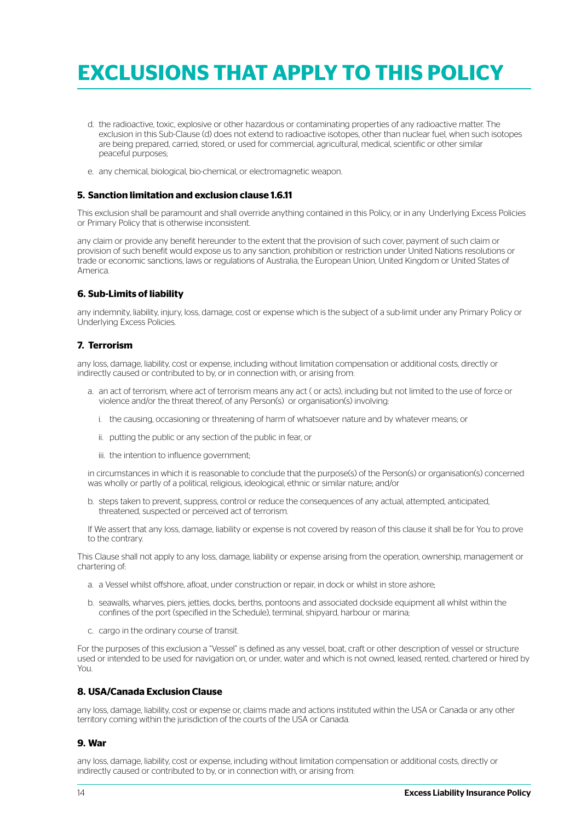# **EXCLUSIONS THAT APPLY TO THIS POLICY**

- d. the radioactive, toxic, explosive or other hazardous or contaminating properties of any radioactive matter. The exclusion in this Sub-Clause (d) does not extend to radioactive isotopes, other than nuclear fuel, when such isotopes are being prepared, carried, stored, or used for commercial, agricultural, medical, scientific or other similar peaceful purposes;
- e. any chemical, biological, bio-chemical, or electromagnetic weapon.

#### **5. Sanction limitation and exclusion clause 1.6.11**

This exclusion shall be paramount and shall override anything contained in this Policy, or in any Underlying Excess Policies or Primary Policy that is otherwise inconsistent.

any claim or provide any benefit hereunder to the extent that the provision of such cover, payment of such claim or provision of such benefit would expose us to any sanction, prohibition or restriction under United Nations resolutions or trade or economic sanctions, laws or regulations of Australia, the European Union, United Kingdom or United States of America.

### **6. Sub-Limits of liability**

any indemnity, liability, injury, loss, damage, cost or expense which is the subject of a sub-limit under any Primary Policy or Underlying Excess Policies.

### **7. Terrorism**

any loss, damage, liability, cost or expense, including without limitation compensation or additional costs, directly or indirectly caused or contributed to by, or in connection with, or arising from:

- a. an act of terrorism, where act of terrorism means any act ( or acts), including but not limited to the use of force or violence and/or the threat thereof, of any Person(s) or organisation(s) involving:
	- i. the causing, occasioning or threatening of harm of whatsoever nature and by whatever means; or
	- ii. putting the public or any section of the public in fear, or
	- iii. the intention to influence government;

in circumstances in which it is reasonable to conclude that the purpose(s) of the Person(s) or organisation(s) concerned was wholly or partly of a political, religious, ideological, ethnic or similar nature; and/or

b. steps taken to prevent, suppress, control or reduce the consequences of any actual, attempted, anticipated, threatened, suspected or perceived act of terrorism.

If We assert that any loss, damage, liability or expense is not covered by reason of this clause it shall be for You to prove to the contrary.

This Clause shall not apply to any loss, damage, liability or expense arising from the operation, ownership, management or chartering of:

- a. a Vessel whilst offshore, afloat, under construction or repair, in dock or whilst in store ashore;
- b. seawalls, wharves, piers, jetties, docks, berths, pontoons and associated dockside equipment all whilst within the confines of the port (specified in the Schedule), terminal, shipyard, harbour or marina;
- c. cargo in the ordinary course of transit.

For the purposes of this exclusion a "Vessel" is defined as any vessel, boat, craft or other description of vessel or structure used or intended to be used for navigation on, or under, water and which is not owned, leased, rented, chartered or hired by You.

### **8. USA/Canada Exclusion Clause**

any loss, damage, liability, cost or expense or, claims made and actions instituted within the USA or Canada or any other territory coming within the jurisdiction of the courts of the USA or Canada.

#### **9. War**

any loss, damage, liability, cost or expense, including without limitation compensation or additional costs, directly or indirectly caused or contributed to by, or in connection with, or arising from: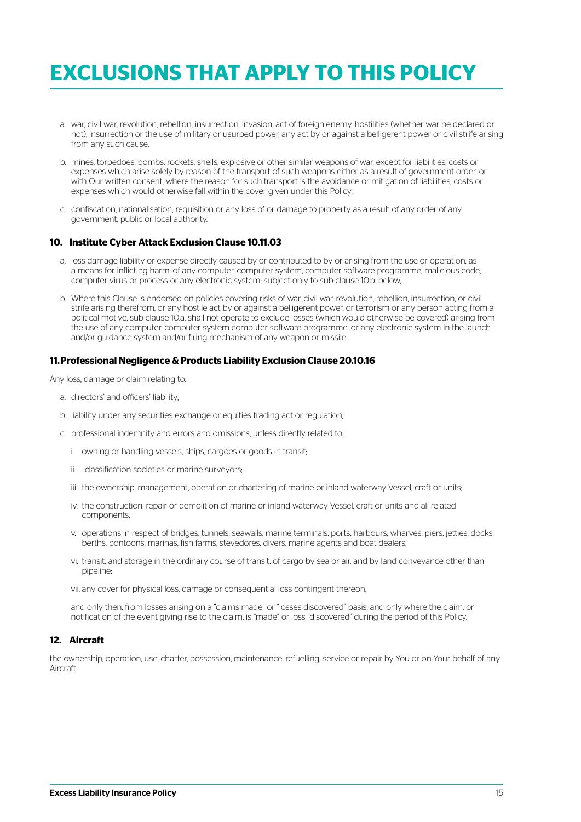# **EXCLUSIONS THAT APPLY TO THIS POLICY**

- a. war, civil war, revolution, rebellion, insurrection, invasion, act of foreign enemy, hostilities (whether war be declared or not), insurrection or the use of military or usurped power, any act by or against a belligerent power or civil strife arising from any such cause;
- b. mines, torpedoes, bombs, rockets, shells, explosive or other similar weapons of war, except for liabilities, costs or expenses which arise solely by reason of the transport of such weapons either as a result of government order, or with Our written consent, where the reason for such transport is the avoidance or mitigation of liabilities, costs or expenses which would otherwise fall within the cover given under this Policy;
- c. confiscation, nationalisation, requisition or any loss of or damage to property as a result of any order of any government, public or local authority.

### **10. Institute Cyber Attack Exclusion Clause 10.11.03**

- a. loss damage liability or expense directly caused by or contributed to by or arising from the use or operation, as a means for inflicting harm, of any computer, computer system, computer software programme, malicious code, computer virus or process or any electronic system; subject only to sub-clause 10.b. below,.
- b. Where this Clause is endorsed on policies covering risks of war, civil war, revolution, rebellion, insurrection, or civil strife arising therefrom, or any hostile act by or against a belligerent power, or terrorism or any person acting from a political motive, sub-clause 10.a. shall not operate to exclude losses (which would otherwise be covered) arising from the use of any computer, computer system computer software programme, or any electronic system in the launch and/or guidance system and/or firing mechanism of any weapon or missile.

#### **11.Professional Negligence & Products Liability Exclusion Clause 20.10.16**

Any loss, damage or claim relating to:

- a. directors' and officers' liability;
- b. liability under any securities exchange or equities trading act or regulation;
- c. professional indemnity and errors and omissions, unless directly related to:
	- i. owning or handling vessels, ships, cargoes or goods in transit;
	- ii. classification societies or marine surveyors;
	- iii. the ownership, management, operation or chartering of marine or inland waterway Vessel, craft or units;
	- iv. the construction, repair or demolition of marine or inland waterway Vessel, craft or units and all related components;
	- v. operations in respect of bridges, tunnels, seawalls, marine terminals, ports, harbours, wharves, piers, jetties, docks, berths, pontoons, marinas, fish farms, stevedores, divers, marine agents and boat dealers;
	- vi. transit, and storage in the ordinary course of transit, of cargo by sea or air, and by land conveyance other than pipeline;

vii. any cover for physical loss, damage or consequential loss contingent thereon;

and only then, from losses arising on a "claims made" or "losses discovered" basis, and only where the claim, or notification of the event giving rise to the claim, is "made" or loss "discovered" during the period of this Policy.

### **12. Aircraft**

the ownership, operation, use, charter, possession, maintenance, refuelling, service or repair by You or on Your behalf of any Aircraft.